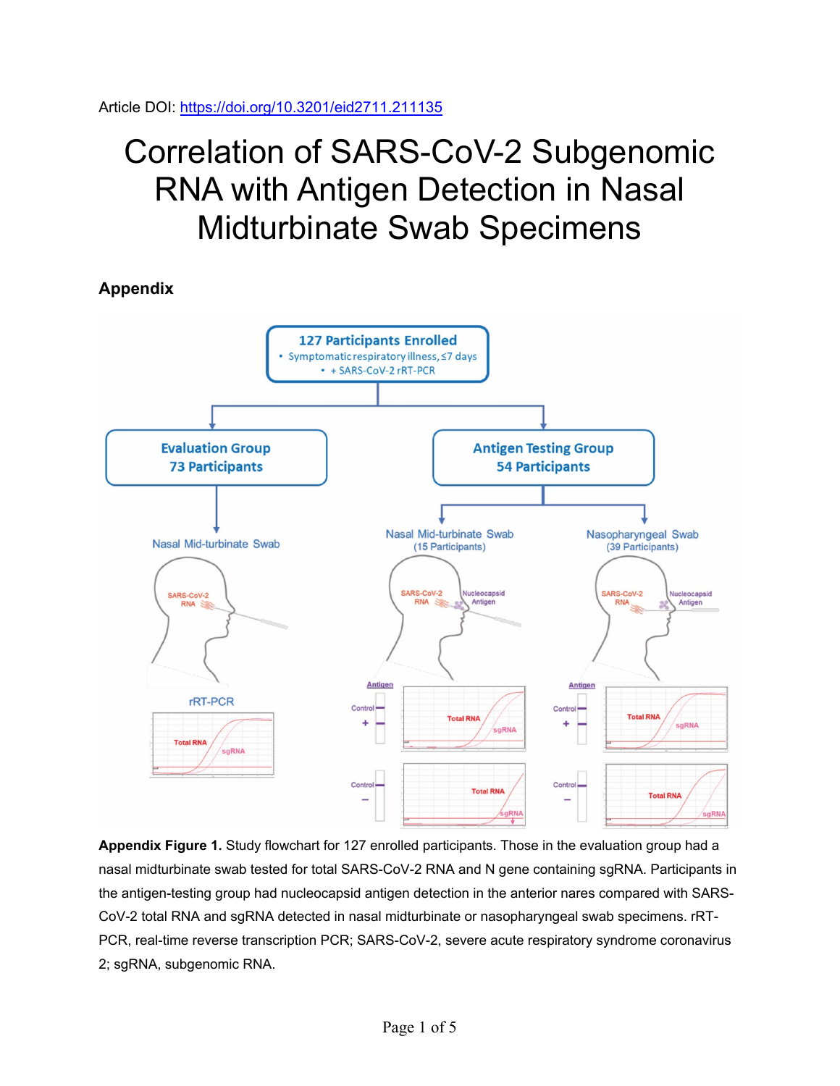## Correlation of SARS-CoV-2 Subgenomic RNA with Antigen Detection in Nasal Midturbinate Swab Specimens

**Appendix**



**Appendix Figure 1.** Study flowchart for 127 enrolled participants. Those in the evaluation group had a nasal midturbinate swab tested for total SARS-CoV-2 RNA and N gene containing sgRNA. Participants in the antigen-testing group had nucleocapsid antigen detection in the anterior nares compared with SARS-CoV-2 total RNA and sgRNA detected in nasal midturbinate or nasopharyngeal swab specimens. rRT-PCR, real-time reverse transcription PCR; SARS-CoV-2, severe acute respiratory syndrome coronavirus 2; sgRNA, subgenomic RNA.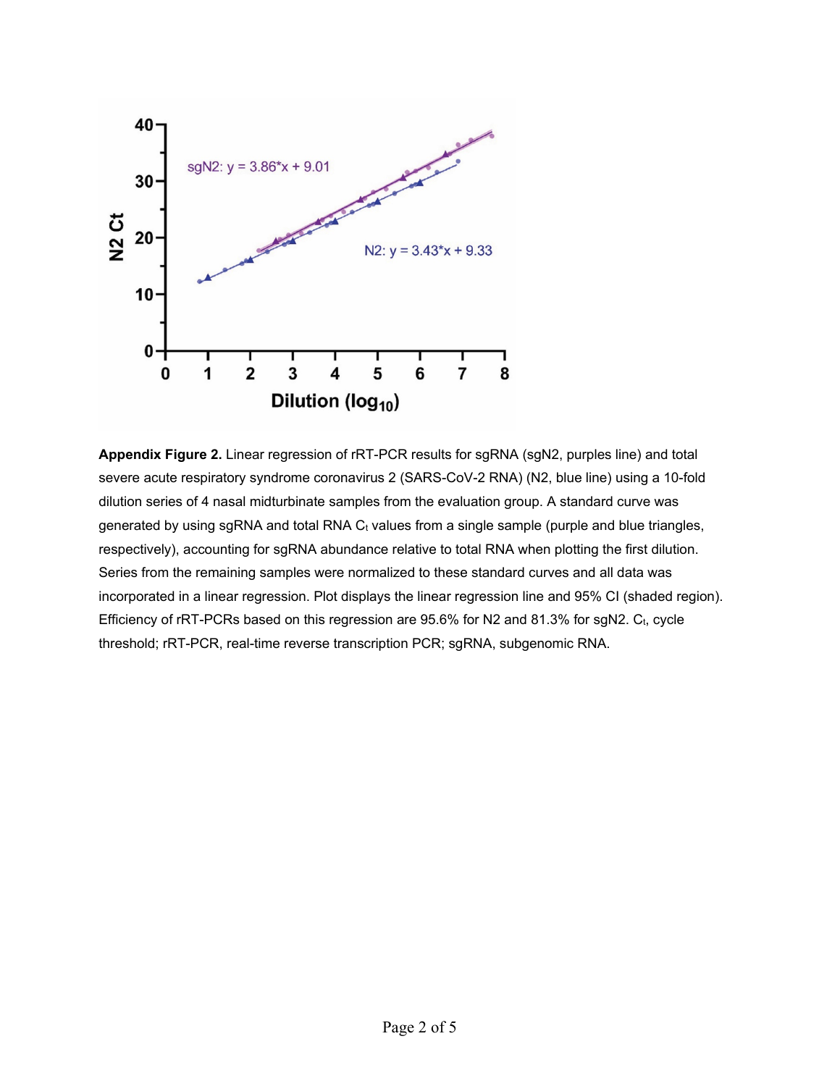

**Appendix Figure 2.** Linear regression of rRT-PCR results for sgRNA (sgN2, purples line) and total severe acute respiratory syndrome coronavirus 2 (SARS-CoV-2 RNA) (N2, blue line) using a 10-fold dilution series of 4 nasal midturbinate samples from the evaluation group. A standard curve was generated by using sgRNA and total RNA  $C_t$  values from a single sample (purple and blue triangles, respectively), accounting for sgRNA abundance relative to total RNA when plotting the first dilution. Series from the remaining samples were normalized to these standard curves and all data was incorporated in a linear regression. Plot displays the linear regression line and 95% CI (shaded region). Efficiency of rRT-PCRs based on this regression are 95.6% for N2 and 81.3% for sgN2. Ct, cycle threshold; rRT-PCR, real-time reverse transcription PCR; sgRNA, subgenomic RNA.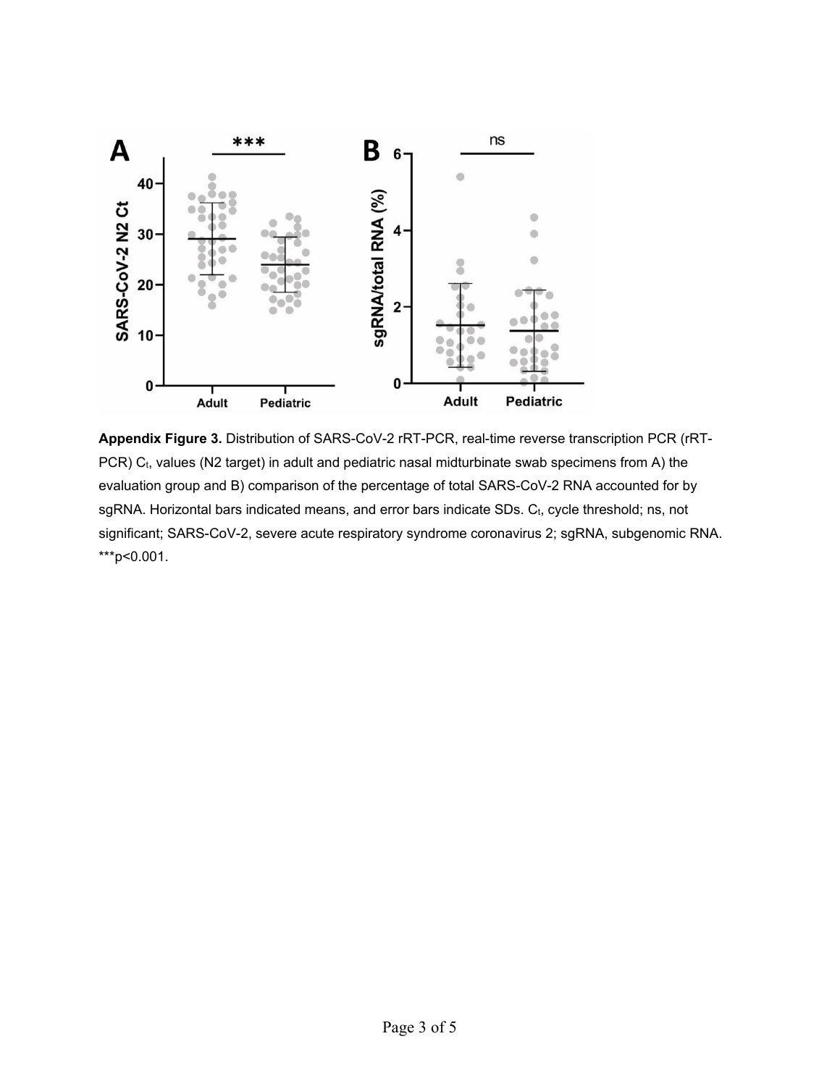

**Appendix Figure 3.** Distribution of SARS-CoV-2 rRT-PCR, real-time reverse transcription PCR (rRT-PCR) C<sub>t</sub>, values (N2 target) in adult and pediatric nasal midturbinate swab specimens from A) the evaluation group and B) comparison of the percentage of total SARS-CoV-2 RNA accounted for by sgRNA. Horizontal bars indicated means, and error bars indicate SDs. C<sub>t</sub>, cycle threshold; ns, not significant; SARS-CoV-2, severe acute respiratory syndrome coronavirus 2; sgRNA, subgenomic RNA. \*\*\*p<0.001.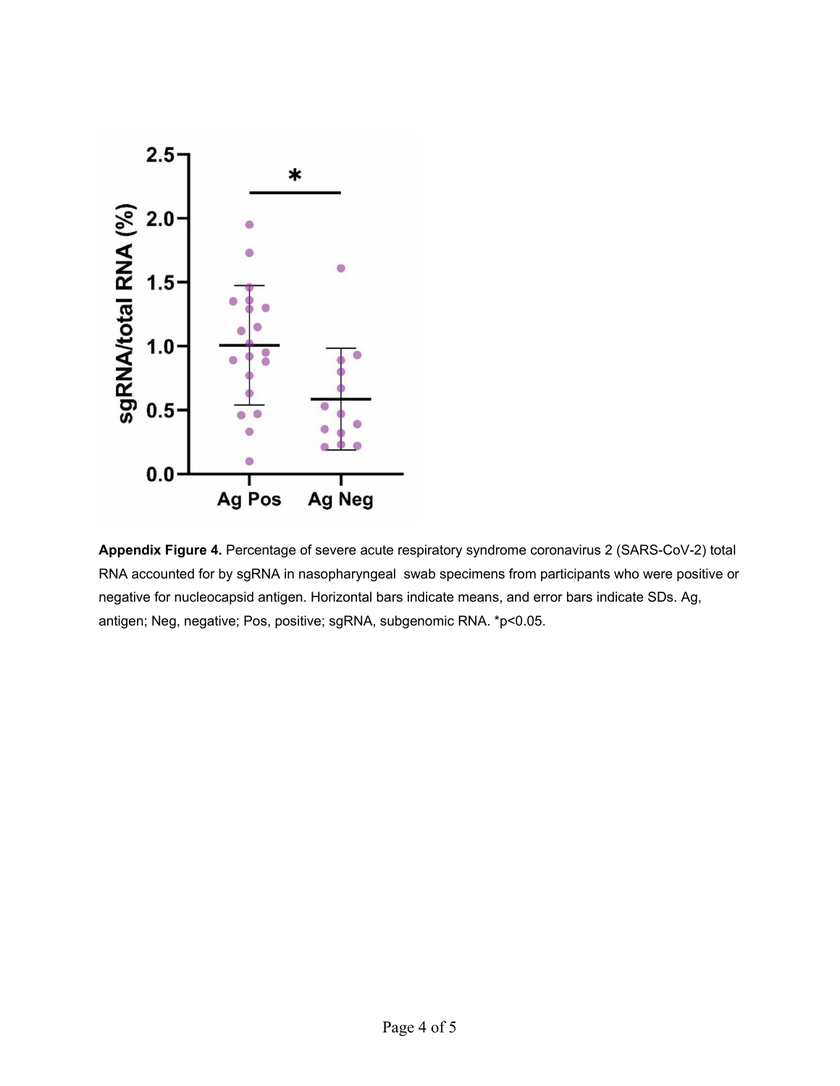

**Appendix Figure 4.** Percentage of severe acute respiratory syndrome coronavirus 2 (SARS-CoV-2) total RNA accounted for by sgRNA in nasopharyngeal swab specimens from participants who were positive or negative for nucleocapsid antigen. Horizontal bars indicate means, and error bars indicate SDs. Ag, antigen; Neg, negative; Pos, positive; sgRNA, subgenomic RNA. \*p<0.05.